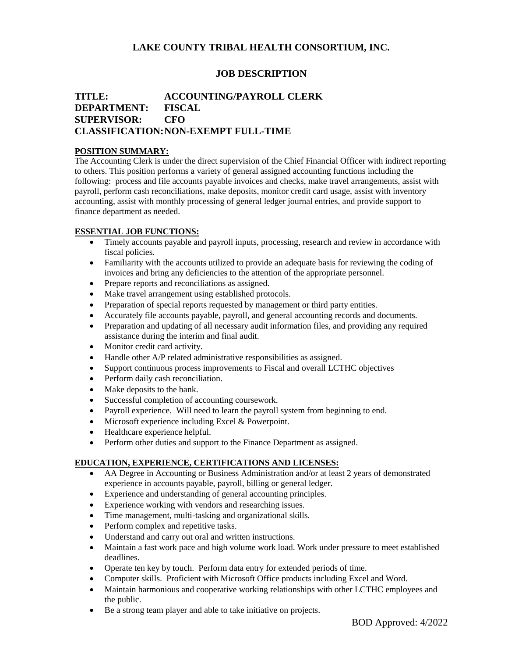# **LAKE COUNTY TRIBAL HEALTH CONSORTIUM, INC.**

## **JOB DESCRIPTION**

# **TITLE: ACCOUNTING/PAYROLL CLERK DEPARTMENT: FISCAL SUPERVISOR: CFO CLASSIFICATION:NON-EXEMPT FULL-TIME**

#### **POSITION SUMMARY:**

The Accounting Clerk is under the direct supervision of the Chief Financial Officer with indirect reporting to others. This position performs a variety of general assigned accounting functions including the following: process and file accounts payable invoices and checks, make travel arrangements, assist with payroll, perform cash reconciliations, make deposits, monitor credit card usage, assist with inventory accounting, assist with monthly processing of general ledger journal entries, and provide support to finance department as needed.

#### **ESSENTIAL JOB FUNCTIONS:**

- Timely accounts payable and payroll inputs, processing, research and review in accordance with fiscal policies.
- Familiarity with the accounts utilized to provide an adequate basis for reviewing the coding of invoices and bring any deficiencies to the attention of the appropriate personnel.
- Prepare reports and reconciliations as assigned.
- Make travel arrangement using established protocols.
- Preparation of special reports requested by management or third party entities.
- Accurately file accounts payable, payroll, and general accounting records and documents.
- Preparation and updating of all necessary audit information files, and providing any required assistance during the interim and final audit.
- Monitor credit card activity.
- Handle other A/P related administrative responsibilities as assigned.
- Support continuous process improvements to Fiscal and overall LCTHC objectives
- Perform daily cash reconciliation.
- Make deposits to the bank.
- Successful completion of accounting coursework.
- Payroll experience. Will need to learn the payroll system from beginning to end.
- Microsoft experience including Excel & Powerpoint.
- Healthcare experience helpful.
- Perform other duties and support to the Finance Department as assigned.

## **EDUCATION, EXPERIENCE, CERTIFICATIONS AND LICENSES:**

- AA Degree in Accounting or Business Administration and/or at least 2 years of demonstrated experience in accounts payable, payroll, billing or general ledger.
- Experience and understanding of general accounting principles.
- Experience working with vendors and researching issues.
- Time management, multi-tasking and organizational skills.
- Perform complex and repetitive tasks.
- Understand and carry out oral and written instructions.
- Maintain a fast work pace and high volume work load. Work under pressure to meet established deadlines.
- Operate ten key by touch. Perform data entry for extended periods of time.
- Computer skills. Proficient with Microsoft Office products including Excel and Word.
- Maintain harmonious and cooperative working relationships with other LCTHC employees and the public.
- Be a strong team player and able to take initiative on projects.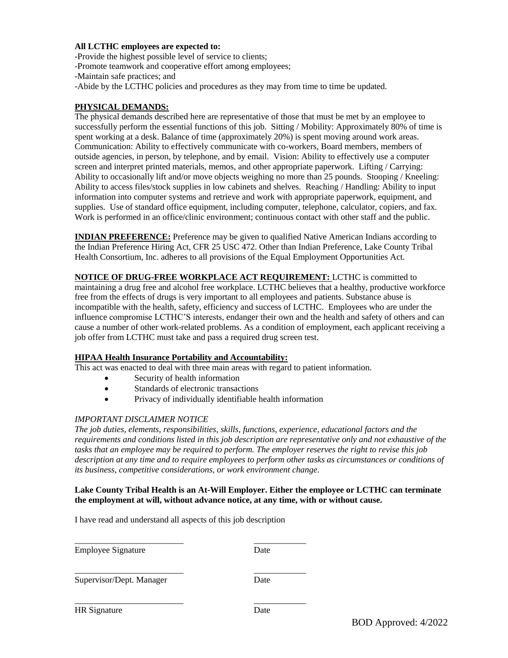## **All LCTHC employees are expected to:**

-Provide the highest possible level of service to clients;

-Promote teamwork and cooperative effort among employees;

-Maintain safe practices; and

-Abide by the LCTHC policies and procedures as they may from time to time be updated.

## **PHYSICAL DEMANDS:**

The physical demands described here are representative of those that must be met by an employee to successfully perform the essential functions of this job. Sitting / Mobility: Approximately 80% of time is spent working at a desk. Balance of time (approximately 20%) is spent moving around work areas. Communication: Ability to effectively communicate with co-workers, Board members, members of outside agencies, in person, by telephone, and by email. Vision: Ability to effectively use a computer screen and interpret printed materials, memos, and other appropriate paperwork. Lifting / Carrying: Ability to occasionally lift and/or move objects weighing no more than 25 pounds. Stooping / Kneeling: Ability to access files/stock supplies in low cabinets and shelves. Reaching / Handling: Ability to input information into computer systems and retrieve and work with appropriate paperwork, equipment, and supplies. Use of standard office equipment, including computer, telephone, calculator, copiers, and fax. Work is performed in an office/clinic environment; continuous contact with other staff and the public.

**INDIAN PREFERENCE:** Preference may be given to qualified Native American Indians according to the Indian Preference Hiring Act, CFR 25 USC 472. Other than Indian Preference, Lake County Tribal Health Consortium, Inc. adheres to all provisions of the Equal Employment Opportunities Act.

**NOTICE OF DRUG-FREE WORKPLACE ACT REQUIREMENT:** LCTHC is committed to maintaining a drug free and alcohol free workplace. LCTHC believes that a healthy, productive workforce free from the effects of drugs is very important to all employees and patients. Substance abuse is incompatible with the health, safety, efficiency and success of LCTHC. Employees who are under the influence compromise LCTHC'S interests, endanger their own and the health and safety of others and can cause a number of other work-related problems. As a condition of employment, each applicant receiving a job offer from LCTHC must take and pass a required drug screen test.

## **HIPAA Health Insurance Portability and Accountability:**

This act was enacted to deal with three main areas with regard to patient information.

- Security of health information
- Standards of electronic transactions
- Privacy of individually identifiable health information

#### *IMPORTANT DISCLAIMER NOTICE*

*The job duties, elements, responsibilities, skills, functions, experience, educational factors and the requirements and conditions listed in this job description are representative only and not exhaustive of the tasks that an employee may be required to perform. The employer reserves the right to revise this job description at any time and to require employees to perform other tasks as circumstances or conditions of its business, competitive considerations, or work environment change.*

#### **Lake County Tribal Health is an At-Will Employer. Either the employee or LCTHC can terminate the employment at will, without advance notice, at any time, with or without cause.**

I have read and understand all aspects of this job description

\_\_\_\_\_\_\_\_\_\_\_\_\_\_\_\_\_\_\_\_\_\_\_\_\_ \_\_\_\_\_\_\_\_\_\_\_\_

\_\_\_\_\_\_\_\_\_\_\_\_\_\_\_\_\_\_\_\_\_\_\_\_\_ \_\_\_\_\_\_\_\_\_\_\_\_

Employee Signature Date

\_\_\_\_\_\_\_\_\_\_\_\_\_\_\_\_\_\_\_\_\_\_\_\_\_ \_\_\_\_\_\_\_\_\_\_\_\_

Supervisor/Dept. Manager Date

HR Signature Date